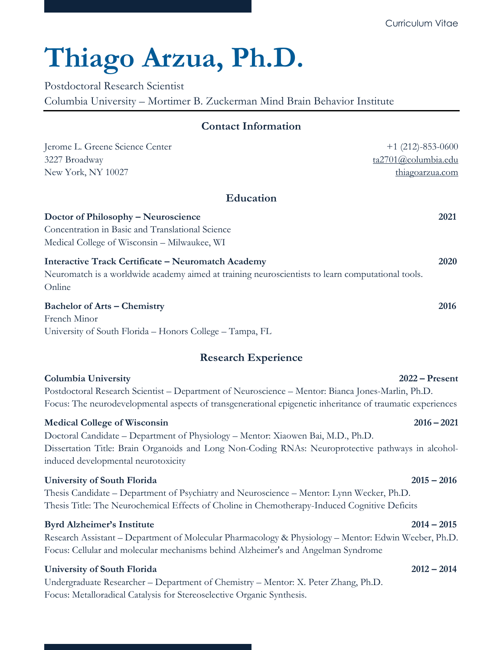# **Thiago Arzua, Ph.D.**

Postdoctoral Research Scientist

Columbia University – Mortimer B. Zuckerman Mind Brain Behavior Institute

## **Contact Information**

| Jerome L. Greene Science Center                                                                                                                                                                                                                                      | $+1$ (212)-853-0600 |
|----------------------------------------------------------------------------------------------------------------------------------------------------------------------------------------------------------------------------------------------------------------------|---------------------|
| 3227 Broadway                                                                                                                                                                                                                                                        | ta2701@columbia.edu |
| New York, NY 10027                                                                                                                                                                                                                                                   | thiagoarzua.com     |
| <b>Education</b>                                                                                                                                                                                                                                                     |                     |
| <b>Doctor of Philosophy - Neuroscience</b><br>Concentration in Basic and Translational Science<br>Medical College of Wisconsin - Milwaukee, WI                                                                                                                       | 2021                |
| <b>Interactive Track Certificate - Neuromatch Academy</b><br>Neuromatch is a worldwide academy aimed at training neuroscientists to learn computational tools.<br>Online                                                                                             | 2020                |
| <b>Bachelor of Arts - Chemistry</b><br>French Minor<br>University of South Florida - Honors College - Tampa, FL                                                                                                                                                      | 2016                |
| <b>Research Experience</b>                                                                                                                                                                                                                                           |                     |
| Columbia University<br>Postdoctoral Research Scientist - Department of Neuroscience - Mentor: Bianca Jones-Marlin, Ph.D.<br>Focus: The neurodevelopmental aspects of transgenerational epigenetic inheritance of traumatic experiences                               | $2022 -$ Present    |
| <b>Medical College of Wisconsin</b><br>Doctoral Candidate – Department of Physiology – Mentor: Xiaowen Bai, M.D., Ph.D.<br>Dissertation Title: Brain Organoids and Long Non-Coding RNAs: Neuroprotective pathways in alcohol-<br>induced developmental neurotoxicity | $2016 - 2021$       |
| <b>University of South Florida</b>                                                                                                                                                                                                                                   | $2015 - 2016$       |

Thesis Candidate – Department of Psychiatry and Neuroscience – Mentor: Lynn Wecker, Ph.D. Thesis Title: The Neurochemical Effects of Choline in Chemotherapy-Induced Cognitive Deficits

## **Byrd Alzheimer's Institute 2014 – 2015**

## Research Assistant – Department of Molecular Pharmacology & Physiology – Mentor: Edwin Weeber, Ph.D. Focus: Cellular and molecular mechanisms behind Alzheimer's and Angelman Syndrome

## **University of South Florida 2012 – 2014**

Undergraduate Researcher – Department of Chemistry – Mentor: X. Peter Zhang, Ph.D. Focus: Metalloradical Catalysis for Stereoselective Organic Synthesis.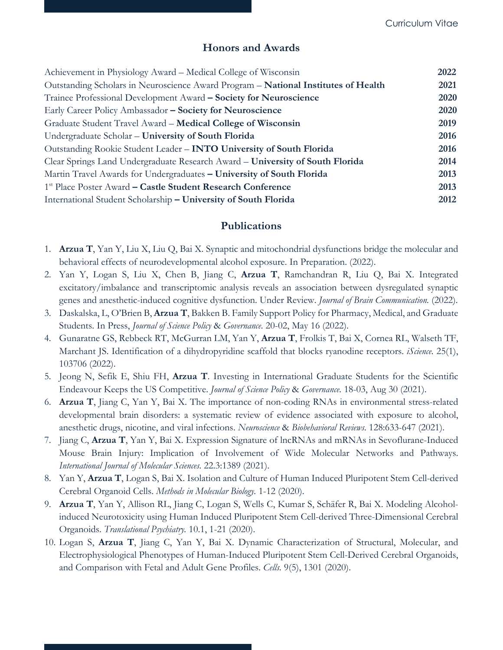## **Honors and Awards**

| Achievement in Physiology Award - Medical College of Wisconsin                     | 2022 |
|------------------------------------------------------------------------------------|------|
| Outstanding Scholars in Neuroscience Award Program - National Institutes of Health | 2021 |
| Trainee Professional Development Award - Society for Neuroscience                  | 2020 |
| Early Career Policy Ambassador - Society for Neuroscience                          | 2020 |
| Graduate Student Travel Award - Medical College of Wisconsin                       | 2019 |
| Undergraduate Scholar - University of South Florida                                | 2016 |
| Outstanding Rookie Student Leader - <b>INTO University of South Florida</b>        | 2016 |
| Clear Springs Land Undergraduate Research Award - University of South Florida      | 2014 |
| Martin Travel Awards for Undergraduates – University of South Florida              | 2013 |
| <sup>1st</sup> Place Poster Award – Castle Student Research Conference             | 2013 |
| International Student Scholarship - University of South Florida                    | 2012 |

## **Publications**

- 1. **Arzua T**, Yan Y, Liu X, Liu Q, Bai X. Synaptic and mitochondrial dysfunctions bridge the molecular and behavioral effects of neurodevelopmental alcohol exposure. In Preparation. (2022).
- 2. Yan Y, Logan S, Liu X, Chen B, Jiang C, **Arzua T**, Ramchandran R, Liu Q, Bai X. Integrated excitatory/imbalance and transcriptomic analysis reveals an association between dysregulated synaptic genes and anesthetic-induced cognitive dysfunction. Under Review. *Journal of Brain Communication.* (2022).
- 3. Daskalska, L, O'Brien B, **Arzua T**, Bakken B. Family Support Policy for Pharmacy, Medical, and Graduate Students. In Press, *Journal of Science Policy* & *Governance.* 20-02, May 16 (2022).
- 4. Gunaratne GS, Rebbeck RT, McGurran LM, Yan Y, **Arzua T**, Frolkis T, Bai X, Cornea RL, Walseth TF, Marchant JS. Identification of a dihydropyridine scaffold that blocks ryanodine receptors. *iScience.* 25(1), 103706 (2022).
- 5. Jeong N, Sefik E, Shiu FH, **Arzua T**. Investing in International Graduate Students for the Scientific Endeavour Keeps the US Competitive. *Journal of Science Policy* & *Governance.* 18-03, Aug 30 (2021).
- 6. **Arzua T**, Jiang C, Yan Y, Bai X. The importance of non-coding RNAs in environmental stress-related developmental brain disorders: a systematic review of evidence associated with exposure to alcohol, anesthetic drugs, nicotine, and viral infections. *Neuroscience* & *Biobehavioral Reviews.* 128:633-647 (2021).
- 7. Jiang C, **Arzua T**, Yan Y, Bai X. Expression Signature of lncRNAs and mRNAs in Sevoflurane-Induced Mouse Brain Injury: Implication of Involvement of Wide Molecular Networks and Pathways. *International Journal of Molecular Sciences.* 22.3:1389 (2021).
- 8. Yan Y, **Arzua T**, Logan S, Bai X. Isolation and Culture of Human Induced Pluripotent Stem Cell-derived Cerebral Organoid Cells. *Methods in Molecular Biology.* 1-12 (2020).
- 9. **Arzua T**, Yan Y, Allison RL, Jiang C, Logan S, Wells C, Kumar S, Schäfer R, Bai X. Modeling Alcoholinduced Neurotoxicity using Human Induced Pluripotent Stem Cell-derived Three-Dimensional Cerebral Organoids. *Translational Psychiatry.* 10.1, 1-21 (2020).
- 10. Logan S, **Arzua T**, Jiang C, Yan Y, Bai X. Dynamic Characterization of Structural, Molecular, and Electrophysiological Phenotypes of Human-Induced Pluripotent Stem Cell-Derived Cerebral Organoids, and Comparison with Fetal and Adult Gene Profiles. *Cells.* 9(5), 1301 (2020).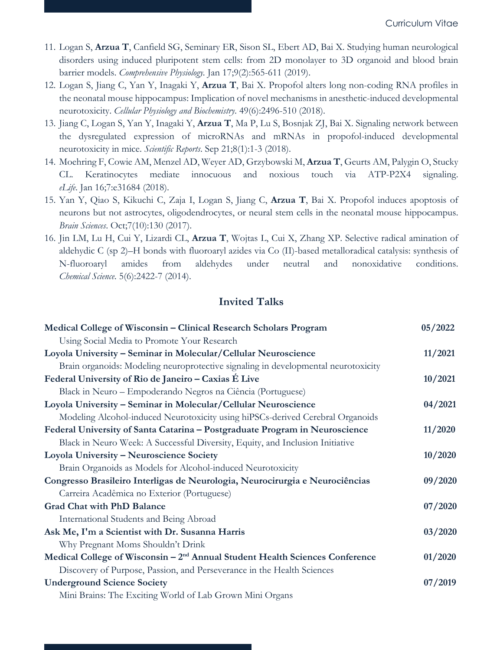- 11. Logan S, **Arzua T**, Canfield SG, Seminary ER, Sison SL, Ebert AD, Bai X. Studying human neurological disorders using induced pluripotent stem cells: from 2D monolayer to 3D organoid and blood brain barrier models. *Comprehensive Physiology.* Jan 17;9(2):565-611 (2019).
- 12. Logan S, Jiang C, Yan Y, Inagaki Y, **Arzua T**, Bai X. Propofol alters long non-coding RNA profiles in the neonatal mouse hippocampus: Implication of novel mechanisms in anesthetic-induced developmental neurotoxicity. *Cellular Physiology and Biochemistry*. 49(6):2496-510 (2018).
- 13. Jiang C, Logan S, Yan Y, Inagaki Y, **Arzua T**, Ma P, Lu S, Bosnjak ZJ, Bai X. Signaling network between the dysregulated expression of microRNAs and mRNAs in propofol-induced developmental neurotoxicity in mice. *Scientific Reports*. Sep 21;8(1):1-3 (2018).
- 14. Moehring F, Cowie AM, Menzel AD, Weyer AD, Grzybowski M, **Arzua T**, Geurts AM, Palygin O, Stucky CL. Keratinocytes mediate innocuous and noxious touch via ATP-P2X4 signaling. *eLife*. Jan 16;7:e31684 (2018).
- 15. Yan Y, Qiao S, Kikuchi C, Zaja I, Logan S, Jiang C, **Arzua T**, Bai X. Propofol induces apoptosis of neurons but not astrocytes, oligodendrocytes, or neural stem cells in the neonatal mouse hippocampus. *Brain Sciences*. Oct;7(10):130 (2017).
- 16. Jin LM, Lu H, Cui Y, Lizardi CL, **Arzua T**, Wojtas L, Cui X, Zhang XP. Selective radical amination of aldehydic C (sp 2)–H bonds with fluoroaryl azides via Co (II)-based metalloradical catalysis: synthesis of N-fluoroaryl amides from aldehydes under neutral and nonoxidative conditions. *Chemical Science*. 5(6):2422-7 (2014).

## **Invited Talks**

| Medical College of Wisconsin - Clinical Research Scholars Program                        | 05/2022 |
|------------------------------------------------------------------------------------------|---------|
| Using Social Media to Promote Your Research                                              |         |
| Loyola University - Seminar in Molecular/Cellular Neuroscience                           | 11/2021 |
| Brain organoids: Modeling neuroprotective signaling in developmental neurotoxicity       |         |
| Federal University of Rio de Janeiro - Caxias É Live                                     | 10/2021 |
| Black in Neuro - Empoderando Negros na Ciência (Portuguese)                              |         |
| Loyola University - Seminar in Molecular/Cellular Neuroscience                           | 04/2021 |
| Modeling Alcohol-induced Neurotoxicity using hiPSCs-derived Cerebral Organoids           |         |
| Federal University of Santa Catarina - Postgraduate Program in Neuroscience              | 11/2020 |
| Black in Neuro Week: A Successful Diversity, Equity, and Inclusion Initiative            |         |
| Loyola University - Neuroscience Society                                                 | 10/2020 |
| Brain Organoids as Models for Alcohol-induced Neurotoxicity                              |         |
| Congresso Brasileiro Interligas de Neurologia, Neurocirurgia e Neurociências             | 09/2020 |
| Carreira Acadêmica no Exterior (Portuguese)                                              |         |
| <b>Grad Chat with PhD Balance</b>                                                        | 07/2020 |
| International Students and Being Abroad                                                  |         |
| Ask Me, I'm a Scientist with Dr. Susanna Harris                                          | 03/2020 |
| Why Pregnant Moms Shouldn't Drink                                                        |         |
| Medical College of Wisconsin - 2 <sup>nd</sup> Annual Student Health Sciences Conference | 01/2020 |
| Discovery of Purpose, Passion, and Perseverance in the Health Sciences                   |         |
| <b>Underground Science Society</b>                                                       | 07/2019 |
| Mini Brains: The Exciting World of Lab Grown Mini Organs                                 |         |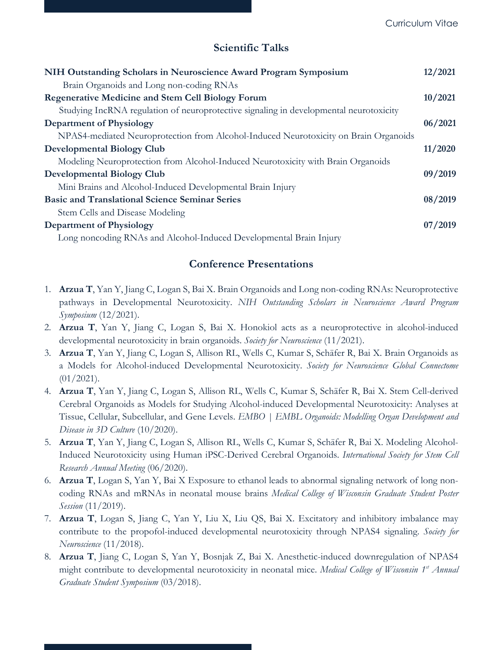## **Scientific Talks**

| NIH Outstanding Scholars in Neuroscience Award Program Symposium                       | 12/2021 |
|----------------------------------------------------------------------------------------|---------|
| Brain Organoids and Long non-coding RNAs                                               |         |
| <b>Regenerative Medicine and Stem Cell Biology Forum</b>                               | 10/2021 |
| Studying IncRNA regulation of neuroprotective signaling in developmental neurotoxicity |         |
| <b>Department of Physiology</b>                                                        | 06/2021 |
| NPAS4-mediated Neuroprotection from Alcohol-Induced Neurotoxicity on Brain Organoids   |         |
| <b>Developmental Biology Club</b>                                                      | 11/2020 |
| Modeling Neuroprotection from Alcohol-Induced Neurotoxicity with Brain Organoids       |         |
| <b>Developmental Biology Club</b>                                                      | 09/2019 |
| Mini Brains and Alcohol-Induced Developmental Brain Injury                             |         |
| <b>Basic and Translational Science Seminar Series</b>                                  | 08/2019 |
| Stem Cells and Disease Modeling                                                        |         |
| <b>Department of Physiology</b>                                                        | 07/2019 |
| Long noncoding RNAs and Alcohol-Induced Developmental Brain Injury                     |         |

## **Conference Presentations**

- 1. **Arzua T**, Yan Y, Jiang C, Logan S, Bai X. Brain Organoids and Long non-coding RNAs: Neuroprotective pathways in Developmental Neurotoxicity. *NIH Outstanding Scholars in Neuroscience Award Program Symposium* (12/2021).
- 2. **Arzua T**, Yan Y, Jiang C, Logan S, Bai X. Honokiol acts as a neuroprotective in alcohol-induced developmental neurotoxicity in brain organoids. *Society for Neuroscience* (11/2021).
- 3. **Arzua T**, Yan Y, Jiang C, Logan S, Allison RL, Wells C, Kumar S, Schäfer R, Bai X. Brain Organoids as a Models for Alcohol-induced Developmental Neurotoxicity. *Society for Neuroscience Global Connectome*  $(01/2021)$ .
- 4. **Arzua T**, Yan Y, Jiang C, Logan S, Allison RL, Wells C, Kumar S, Schäfer R, Bai X. Stem Cell-derived Cerebral Organoids as Models for Studying Alcohol-induced Developmental Neurotoxicity: Analyses at Tissue, Cellular, Subcellular, and Gene Levels. *EMBO | EMBL Organoids: Modelling Organ Development and Disease in 3D Culture* (10/2020).
- 5. **Arzua T**, Yan Y, Jiang C, Logan S, Allison RL, Wells C, Kumar S, Schäfer R, Bai X. Modeling Alcohol-Induced Neurotoxicity using Human iPSC-Derived Cerebral Organoids. *International Society for Stem Cell Research Annual Meeting* (06/2020).
- 6. **Arzua T**, Logan S, Yan Y, Bai X Exposure to ethanol leads to abnormal signaling network of long noncoding RNAs and mRNAs in neonatal mouse brains *Medical College of Wisconsin Graduate Student Poster Session* (11/2019).
- 7. **Arzua T**, Logan S, Jiang C, Yan Y, Liu X, Liu QS, Bai X. Excitatory and inhibitory imbalance may contribute to the propofol-induced developmental neurotoxicity through NPAS4 signaling. *Society for Neuroscience* (11/2018).
- 8. **Arzua T**, Jiang C, Logan S, Yan Y, Bosnjak Z, Bai X. Anesthetic-induced downregulation of NPAS4 might contribute to developmental neurotoxicity in neonatal mice. *Medical College of Wisconsin 1st Annual Graduate Student Symposium* (03/2018).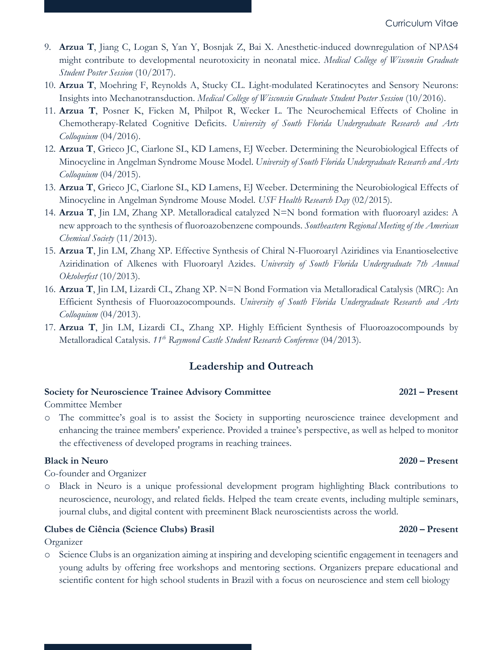- 9. **Arzua T**, Jiang C, Logan S, Yan Y, Bosnjak Z, Bai X. Anesthetic-induced downregulation of NPAS4 might contribute to developmental neurotoxicity in neonatal mice. *Medical College of Wisconsin Graduate Student Poster Session* (10/2017).
- 10. **Arzua T**, Moehring F, Reynolds A, Stucky CL. Light-modulated Keratinocytes and Sensory Neurons: Insights into Mechanotransduction. *Medical College of Wisconsin Graduate Student Poster Session* (10/2016).
- 11. **Arzua T**, Posner K, Ficken M, Philpot R, Wecker L. The Neurochemical Effects of Choline in Chemotherapy-Related Cognitive Deficits. *University of South Florida Undergraduate Research and Arts Colloquium* (04/2016).
- 12. **Arzua T**, Grieco JC, Ciarlone SL, KD Lamens, EJ Weeber. Determining the Neurobiological Effects of Minocycline in Angelman Syndrome Mouse Model. *University of South Florida Undergraduate Research and Arts Colloquium* (04/2015).
- 13. **Arzua T**, Grieco JC, Ciarlone SL, KD Lamens, EJ Weeber. Determining the Neurobiological Effects of Minocycline in Angelman Syndrome Mouse Model. *USF Health Research Day* (02/2015)*.*
- 14. **Arzua T**, Jin LM, Zhang XP. Metalloradical catalyzed N=N bond formation with fluoroaryl azides: A new approach to the synthesis of fluoroazobenzene compounds. *Southeastern Regional Meeting of the American Chemical Society* (11/2013).
- 15. **Arzua T**, Jin LM, Zhang XP. Effective Synthesis of Chiral N-Fluoroaryl Aziridines via Enantioselective Aziridination of Alkenes with Fluoroaryl Azides. *University of South Florida Undergraduate 7th Annual Oktoberfest* (10/2013).
- 16. **Arzua T**, Jin LM, Lizardi CL, Zhang XP. N=N Bond Formation via Metalloradical Catalysis (MRC): An Efficient Synthesis of Fluoroazocompounds. *University of South Florida Undergraduate Research and Arts Colloquium* (04/2013).
- 17. **Arzua T**, Jin LM, Lizardi CL, Zhang XP. Highly Efficient Synthesis of Fluoroazocompounds by Metalloradical Catalysis. *11th Raymond Castle Student Research Conference* (04/2013).

## **Leadership and Outreach**

## **Society for Neuroscience Trainee Advisory Committee 2021 – Present**

Committee Member

o The committee's goal is to assist the Society in supporting neuroscience trainee development and enhancing the trainee members' experience. Provided a trainee's perspective, as well as helped to monitor the effectiveness of developed programs in reaching trainees.

## **Black in Neuro 2020 – Present**

Co-founder and Organizer

o Black in Neuro is a unique professional development program highlighting Black contributions to neuroscience, neurology, and related fields. Helped the team create events, including multiple seminars, journal clubs, and digital content with preeminent Black neuroscientists across the world.

## **Clubes de Ciência (Science Clubs) Brasil 2020 – Present**

Organizer

o Science Clubs is an organization aiming at inspiring and developing scientific engagement in teenagers and young adults by offering free workshops and mentoring sections. Organizers prepare educational and scientific content for high school students in Brazil with a focus on neuroscience and stem cell biology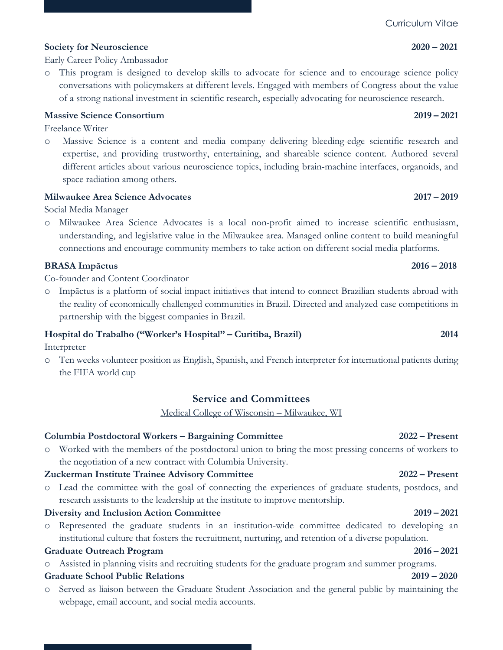## **Society for Neuroscience 2020 – 2021**

Early Career Policy Ambassador

o This program is designed to develop skills to advocate for science and to encourage science policy conversations with policymakers at different levels. Engaged with members of Congress about the value of a strong national investment in scientific research, especially advocating for neuroscience research.

## **Massive Science Consortium 2019 – 2021**

Freelance Writer

o Massive Science is a content and media company delivering bleeding-edge scientific research and expertise, and providing trustworthy, entertaining, and shareable science content. Authored several different articles about various neuroscience topics, including brain-machine interfaces, organoids, and space radiation among others.

## **Milwaukee Area Science Advocates 2017 – 2019**

Social Media Manager

o Milwaukee Area Science Advocates is a local non-profit aimed to increase scientific enthusiasm, understanding, and legislative value in the Milwaukee area. Managed online content to build meaningful connections and encourage community members to take action on different social media platforms.

## **BRASA Impāctus 2016 – 2018**

Co-founder and Content Coordinator

o Impāctus is a platform of social impact initiatives that intend to connect Brazilian students abroad with the reality of economically challenged communities in Brazil. Directed and analyzed case competitions in partnership with the biggest companies in Brazil.

## **Hospital do Trabalho ("Worker's Hospital" – Curitiba, Brazil) 2014**

Interpreter

o Ten weeks volunteer position as English, Spanish, and French interpreter for international patients during the FIFA world cup

## **Service and Committees**

Medical College of Wisconsin – Milwaukee, WI

## **Columbia Postdoctoral Workers – Bargaining Committee 2022 – Present**

o Worked with the members of the postdoctoral union to bring the most pressing concerns of workers to the negotiation of a new contract with Columbia University.

## **Zuckerman Institute Trainee Advisory Committee 2022 – Present**

o Lead the committee with the goal of connecting the experiences of graduate students, postdocs, and research assistants to the leadership at the institute to improve mentorship.

## **Diversity and Inclusion Action Committee 2019 – 2021**

o Represented the graduate students in an institution-wide committee dedicated to developing an institutional culture that fosters the recruitment, nurturing, and retention of a diverse population.

## **Graduate Outreach Program 2016 – 2021**

o Assisted in planning visits and recruiting students for the graduate program and summer programs.

## **Graduate School Public Relations 2019 – 2020**

o Served as liaison between the Graduate Student Association and the general public by maintaining the webpage, email account, and social media accounts.

## Curriculum Vitae